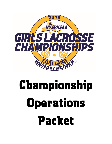

# Championship **Operations** Packet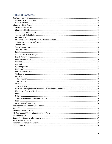# **Table of Contents**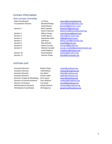# <span id="page-2-0"></span>Contact Information

#### <span id="page-2-1"></span>Girls Lacrosse Committee

| <b>Tournament Director</b> | Machell Phelps        |
|----------------------------|-----------------------|
|                            | Jamie Brown           |
| Section 1                  | <b>Beth Starpoli</b>  |
|                            | Karen Peterson        |
| Section 2                  | Allison Anaya         |
| Section 3                  | Caitlin Byrne         |
| Section 4                  | Samantha Little       |
| Section 5                  | Jeff Onze             |
| Section 6                  | <b>Rick Schmitt</b>   |
| Section 8                  | Dawn Cerrone          |
| Section 9                  | <b>Wendy Crandall</b> |
|                            | Leslie Ahlborn        |
| Section 10                 | Sarah Bullard         |
| Section 11                 | Jeremv Thode          |

State Coordinator Liz Parry [eparry@emmawillard.org](mailto:eparry@emmawillard.org) [machellphelps@yahoo.com](mailto:machellphelps@yahoo.com) [jbrown48@twcny.rr.com](mailto:jbrown48@twcny.rr.com) [bstar0216@gmail.com](mailto:bstar0216@gmail.com) [kpeterson@bronxvilleschool.org](mailto:kpeterson@bronxvilleschool.org) [coachalanaya@gmail.com](mailto:coachalanaya@gmail.com) cbyrne@caz.cnyric.org [slittle@icsd.k12.ny.us](mailto:slittle@icsd.k12.ny.us) [jeffrey.onze@erschools.org](mailto:jeffrey.onze@erschools.org) [rslax42@gmail.com](mailto:rslax42@gmail.com) [cerroned@gcufsd.net](mailto:cerroned@gcufsd.net) [wendy.crandall@pinebushschools.org](mailto:wendy.crandall@pinebushschools.org) [Laahlborn@hotmail.com](mailto:Laahlborn@hotmail.com) [sbullard@nncsk12.org](mailto:sbullard@nncsk12.org) [jthode@cmschools.org](mailto:jthode@cmschools.org)

#### <span id="page-2-2"></span>NYSPHSAA Staff

| <b>Executive Director</b>       | R٥  |
|---------------------------------|-----|
| <b>Assistant Director</b>       | Тα  |
| <b>Assistant Director</b>       | Jo  |
| <b>Assistant Director</b>       | Kr  |
| Director of Sales & Marketing   | Cł  |
| Director of Communications      | Cł  |
| Director of Finance             | Lis |
| Administrative Assistant        | Sa  |
| <b>Distribution Coordinator</b> | Jil |
|                                 |     |

obert Zayas [rzayas@nysphsaa.org](mailto:rzayas@nysphsaa.org) odd Nelson **Thelson** Todd Nelson e Altieri [altieri@nysphsaa.org](mailto:altieri@nysphsaa.org) risten Jadin Kiadin <sub>kjadin</sub> ang baga na kisakang karangang kalendar ang karangang manang kalendar ang tanggala hris Joyce **Cioyce@nysphsaa.org** hris Watson **Chris Communication** Cwatson Chris Watson Chris Watson Chris Watson Chris Watson Chris Watson Chri sa Hand [larnold@nysphsaa.org](mailto:larnold@nysphsaa.org) andy Schanck [sschanck@nysphsaa.org](mailto:sschanck@nysphsaa.org) Il Gregorius igregorius@nysphsaa.org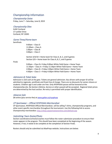# <span id="page-3-0"></span>Championship Information

<span id="page-3-1"></span>Championship Dates

Friday, June 7 – Saturday, June 8, 2019

#### <span id="page-3-2"></span>Championship Sites

SUNY Cortland 17 Lankler Drive Cortland, NY 13045

#### <span id="page-3-3"></span>Game Times/Home team

**Semifinals** 

9:00am – Class D 11:00am – Class A 1:00pm – Class B 3:00pm – Class C

Section 3/4/10 = Home team for Class A, B, C, and D games Section 5/6 = Home team for Class A, B, C, and D games

Finals

9:00am – Class D= Friday 9:00am White Field Game = Home Team 11:30pm – Class A = Friday 11:30pm White Field Game = Home Team 2:00pm – Class B = Friday 2:00pm White Field Game = Home Team 4:30pm – Class C = Friday 4:30pm White Field Game = Home Team

#### <span id="page-3-4"></span>Admission & Ticket Sales

Admission is \$10 cash at the gate. Tickets are general admission. Bus drivers with proper ID will be admitted to regionals, semifinals and finals free of charge. There are no discounts for senior citizens or students. Children age 5 and under are free. Only NYSPHSAA passes will be honored at the championship site. No Section Lifetime, Service or other passed will be accepted. Regional ticket prices are determined by the host section. Re-entry is permitted with proper identification.

#### <span id="page-3-5"></span>Advance Sale

\$8 online (plus service fee) at [www.gofan.co/nysphsaa](http://www.gofan.co/nysphsaa)

#### <span id="page-3-6"></span>CP Sportswear – Official NYSPHSAA Merchandiser

CP Sportswear, NYSPHSAA Official Merchandiser, will be selling T-shirts, championship programs, and other event specific merchandise throughout the tournament. Use the following link to access Championship merchandise[: http://shop.cpsportswearonline.com/default.asp](http://shop.cpsportswearonline.com/default.asp)

#### <span id="page-3-7"></span>Submitting Team Roster/Photo

Section coordinators/schools/coaches must follow the roster submission procedure to ensure their roster appears in the program. This should have been completed at the beginning of the season. However, if not, it needs to be complete at the completion of Section Finals.

Rosters should only be submitted via MaxPreps website. Instructions are below: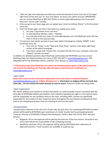- 1. After you sign into maxpreps.com with your email and password, hover over text in the upper right-hand corner that says "hi, Your First Name" to access your admin account. IMPORTANT: you can contact MaxPreps at 800-329-7324x1 or email support@maxpreps.com if you don't have your "access code" already.
- 2. Once you go to your team page you can upload your roster by clicking "Roster" in the horizontal menu bar.
- 3. From the Roster page, you have a few options to update your roster:
	- a. You may "Copy Roster From Last Year"
	- b. To add individual athletes, select "+Athlete"
	- c. You may also email your roster to rosters@maxpreps.com and MaxPreps team will load them in three to five business days.
- 4. To load your team photo, go back to your team admin homepage by clicking "HOME" in the horizontal menu bar.
	- a. Then click on "Photo" in the "Mascot & Team Photo" section in the lower right-hand section of the admin homepage.
	- b. From there simply click "Choose File" and select the file from your computer, then click "Submit" and you are done!

In addition, for detailed questions about MaxPreps partnership with NYSPHSAA you may contact MaxPreps New York Representative Eric Frantz at 937-554-0477 o[r efrantz@maxpreps.com.](mailto:efrantz@maxpreps.com) FOR INQUIRIES WITH THE NYSPHSAA OFFICE, CONTACT Chris Watson at [cwatson@nysphsaa.org.](mailto:cwatson@nysphsaa.org)

#### *\*\*\*The photo/roster from MaxPreps are used in the Championship program. If the photo/roster are not entered into MaxPreps by Thursday, May 30, please email directly to Todd Nelson at*  [tnelson@nysphsaa.org](mailto:tnelson@nysphsaa.org) *\*\*\**

#### <span id="page-4-0"></span>Team Hotel

**Book hotel rooms via the Tournament Registration Form and email it to Machell Phelps at** [machellphelps@yahoo.com](mailto:machellphelps@yahoo.com) by **2.00pm, Monday June 3**. **Information on lodging will be sent back that same day... Do not contact the hotels directly to reserve rooms.** Numerous hotels are being utilize.

#### <span id="page-4-1"></span>Team Supervision

We require athletes and coaches to conduct themselves in a sportsmanlike manner consistent with the principles of NYSPHSAA athletic participation. Each individual spending the night in a tournament hotel shall be responsible for any vandalism done to the room, including theft. Coaches are specifically responsible for the conduct of their respective teams throughout the tournament including when their team is not competing and when they are traveling to and from the event.

#### <span id="page-4-2"></span>**Transportation**

Transportation expenses at the rate of \$1.35 per mile, per grid chart, for competing NYSPHSAA member schools will be paid by NYSPHSAA upon submission of a State Voucher by the participating Section Treasurer, directly to NYSPHSAA, 8 Airport Park Boulevard, Latham, New York 12110, Attn: Assistant Director.

- Regionals: All on-site expenses will be paid by the treasurer of the host section. All profit or loss at this level will be the responsibility of the competing sections.
- Semifinals and finals: All on-site expenses will be paid by NYSPHSAA after submission of approved vouchers. Travel vouchers are available at nysphsaa.org.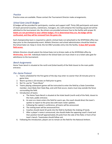#### <span id="page-5-0"></span>**Practice**

Practice areas are available. Please contact the Tournament Director make arrangements.

#### <span id="page-5-1"></span>School Gate Lists/ID Badges

ID badges will be provided for participants, coaches and support staff. Thirty (30) participants and seven (7) team personnel (coaches, statisticians, managers, etc.) will comprise the traveling squad and will be admitted to the tournament site. Bus drivers are provided entrance free to the facility with proper ID. **Adults are not permitted to wear athlete badges. If it is determined they are, the badge will be confiscated, and they will be removed from the game site.**

Each championship team is required to submit a School Gate List (attached) to the NYSPHSAA office two days prior to the championship event. Athletic Directors and school administrators should be listed on the School Gate List. Keep in mind, this list ONLY provides entry into the facility. **It does** *NOT* **provide field access.** 

Athletic Directors should submit the School Gate List to Kristen Jadin at the NYSPHSAA office by *Wednesday, June 5th.* Individuals listed on the School Gate List must check in at a ticket sales gate for admittance to the tournament.

#### <span id="page-5-2"></span>Bench Assignments

Home Team bench is situated at the north end (ticket booth) of the field closest to the main public entrance.

#### <span id="page-5-3"></span>Pre- Game Protocol

- 1. Teams scheduled for the first game of the day may enter no sooner than 20 minutes prior to game time.
- 2. Warm-up time is 20 minutes on field prior to game.
- 3. No P.A. use for "Team Music"
- 4. Teams playing subsequent games will be instructed to enter the field by a State Committee member, most likely their State Rep, and until that occurs, teams must stay outside the fence surrounding the field.
- 5. Introduction of teams
	- a. The Home Team Bench is situated at the ticket booth (north end) of the field, closest to the main, public entrance.
	- b. As soon as a team enters the field for warm ups, the coach should direct the team's spotter to report to the press box with team roster updates.
	- c. Following the captain's conference, all teams will be announced.
	- d. The visiting team will be announced first.
	- e. Coaches should stand 10 yards into the field to facilitate the shaking of hands.
	- f. After a player's name is announced, she should shake the opposing coach's hand and then position herself approximately 20 yards from the side of the field, in front of her team's bench. Teammates should follow suit.
- 6. Following the introduction, players are to remain on the field for the National Anthem.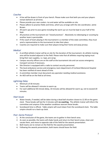#### <span id="page-6-0"></span>**Coaches**

- A line will be drawn in front of your bench. Please make sure that both you and your players remain behind it at all times.
- Please provide your own coolers. Ice and water will be available on site.
- Please adhere to practice fields and times, which you arrange with the site coordinator, Jamie Brown.
- All warm ups prior to your game including the warm up run must be kept to your half of the field.
- All practices at the tournament are "closed practices". Absolutely no videotaping or scouting by another team is permissible.
- If the coach of team playing in the tournament is a member of the state committee, they must send a representative to the tournament to take their place.
- Coaches are required to make sure their players bring their home and away jerseys.

#### <span id="page-6-1"></span>**Medical**

- A certified athletic trainer will be on site for the duration of the tournament. An athletic training area will be located adjacent to the field. Please note that all athletes requiring taping must bring their own supplies, i.e. tape, pre-wrap.
- Campus security officers are on the staff at the tournament site and can access emergency transport services if necessary.
- Site Director is equipped with a radio to contact security personnel.
- The local ambulance service and emergency room department of Cortland Memorial Hospital has been notified of event ahead of time.
- A committee member must document any spectator needing medical assistance.
- An AED will be on the field at all times.

#### <span id="page-6-2"></span>Lightning Delay

- Minimum of 30 minutes
- Teams will be allowed 5 minutes to warm up.
- For each additional 30-minute delay, 10 minutes will be allowed for warm up, not to exceed 20 minutes.

#### <span id="page-6-3"></span>Heat Issues

- Water breaks, if needed, will be taken during a dead ball situation closest to 12:30 on the game clock. These breaks will last for 2 minutes with **no coaching.** The athletic trainer will inform the committee and umpires if the weather conditions warrant these breaks.
- Scoreboard time is official. Table umpire will count down from the scoreboard clock. The table umpire should run a back-up clock.

#### <span id="page-6-4"></span>Post- Game Protocol

- 1. At the conclusion of the game, the teams are to gather in their bench area.
- 2. As soon as possible, the teams will shake hands and return to their bench areas, clean and vacate them, and move to opposite side of the field for the awards presentation.
- 3. Both teams are to remain on the field for the awards presentation.
- 4. Following the awards presentation, both teams should leave the field.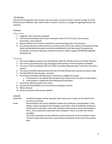#### <span id="page-7-0"></span>Tie-Breaker

If at the end of regulation time of play a tie score exists, we will use Rule 4, Section 6, Page 31 of the NFHS Lacrosse Rulebook. Also, refer to Rule 4, Section 3, Article 1, on page 30 regarding timeouts for overtime.

#### <span id="page-7-1"></span>**Protests**

<span id="page-7-2"></span>Information

- 1. Judgment calls cannot be protested.
- 2. The Protest Committee will consist of members of the N.Y.S.P.H.S.A.A. Girls Lacrosse Committee, and an official.
- 3. Representatives of the Section involved in a protest will not vote on the decision.
- 4. Any and all questions and/or protests as to game rules or as to the conduct of the game shall be heard and decided by the game committee established by that State Sport Championship Committee; and all such decisions shall be final with no right of appeal. (NYSPHSAA Eligibility Standards 3a)

#### <span id="page-7-3"></span>Procedure

- 1. Any coach lodging a protest must immediately notify the officials and scorer of their intention.
- 2. The scorer must indicate the time and nature of the protest in the tournament scorebook.
- 3. The scorer must immediately alert the "State Committee Representative" that there has been a protest.
- 4. The State Committee Representative will alert the field officials that a protest has been made.
- 5. The field officials will stop play all stand.
- 6. The Protest Committee will determine if a situation is eligible for protest.
	- a. If the protest is not upheld then the game will continue from the point of interruption.
	- b. If the protest is upheld then the following will take place:
- 7. Committee will hear protest from coach.
- 8. Consult with field officials as to circumstances leading to protest.
- 9. Makes decision.
- 10. Game to continue with decision applied.

#### <span id="page-7-4"></span>Awards

Semifinals: Semifinalist plaques will be awarded. Both teams are to remain on the field for the awards presentation.

Finals: All participants will receive individual medals and certificates of participation. Team plaques will be awarded to the champions and finalist. Only 30 individual medals are authorized for each team. Each state champion team will also receive 30 champion Tshirts. If you would like to purchase extra champion T-shirts, an order form will be provided.

The State Committee and the individual coaches will select an All-Tournament Team. The form needs to be returned to your Section Coordinator at the end of tournament play.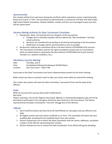#### <span id="page-8-0"></span>**Sportsmanship**

One student-athlete from each team during the semifinals will be selected to receive a Sportsmanship Award and receive a T-shirt. The promotion of sportsmanship is a priority for the New York State Public High School Athletic Association. Student-athletes, coaches and fans are encouraged to give your best and be a great sport!

#### <span id="page-8-1"></span>Decision Making Authority for State Tournament Committee

- 1. Playing sites, dates, and starting times for all games of the tournament.
	- a. Changes due to inclement weather will be made by the "Site Coordinator" and host school authority.
	- b. Decisions are considered to be binding on all schools participating in the tournament. c. Notification of changes will be communicated as soon as possible.
- 2. All decisions made by the committee will be in the best interest of NYSPHSAA Girls Lacrosse.
- 3. The Tournament Committee reserves the right to postpone contests due to circumstances which are determined to compromise the best interests of NYSPHSAA and its girls lacrosse members (i.e. weather conditions, etc.).

#### <span id="page-8-2"></span>Mandatory Coaches Meeting

| Date:     | Thursday, June 6                                |
|-----------|-------------------------------------------------|
| Time:     | Immediately following the Banquet (8:30/8:45pm) |
| Location: | Fay Corey Union – Room TBA                      |

Every team in the State Tournament must have a Representative present at this short meeting.

Make certain you have an assistant coach to take care of your team while you attend the meeting.

This is when the coaches will meet the State Committee, Tournament Chair and the Head of the Officials.

#### <span id="page-8-3"></span>Rules

NFHS-US Lacrosse Girls Lacrosse Rules (with modifications) Red Cards

Players receiving a red card for flagrant misconduct, fighting, or intentionally dangerous play will not be permitted to participate in the next game should her team continue in the tournament. The Section represented by the player receiving the "red-card" will not vote on the decision.

#### <span id="page-8-4"></span>**Officials**

- 1. Semi-Final/Final Games will have three (3) Field Officials for each game and one official on the table.
- 2. All eligible sections will send names of officials to Liz Parry. The committee will select the most qualified after accepting the first qualified choice from each section.
- 3. Section Chairpersons are to inform the State Coordinator with the names, addresses, and phone numbers of the officials representing their sections.
- 4. Section Chairpersons are to contact the State Coordinator if one official will not be attending.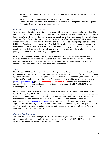- 5. Vacant official positions will be filled by the most qualified official decided upon by the State committee.
- 6. Assignments for the officials will be done by the State Committee.
- 7. Officials will receive a packet with all the relevant material regarding hotels, directions, game times, etc. Once their names have been sent in.

#### <span id="page-9-0"></span>Alternate Official Carding Procedure

When necessary, the alternate official in conjunction with her crew, may issue a yellow or red card for misconduct by a player, coach or any officially designated member of a teams' travel party who is in the bench area. When the misconduct occurs, the alternate official will call time-out on the next whistle and confer with field officials. The field officials will issue the yellow/red card to the offending player, coach or team personnel as identified by the Alternate official. There will be a change of possession on the field if the offending team is in possession of the ball. The head coach must designate a player on the field who will enter the penalty area and serve a two minute penalty (yellow card) or four-minute penalty (red card) . If a red card has been issued, play will not resume until the head coach leaves the playing area. NFHS 2019 Rulebook - Page 95 Appendix C

After the card has been "officially" issued, the carded head coach must designate a player who must leave the field to serve a two minute penalty of elapsed playing time. This card counts towards the team's cumulative total. Play is restarted within one minute with a free position to the opponent nearest the ball, or already with the ball, when play was stopped.

#### <span id="page-9-1"></span>Press

Chris Watson, NYSPHSAA Director of Communications, will accept media credential requests at the tournament. The Director of Communications must be satisfied that the request for a credential is made by a bona fide member of the working press (daily/weekly newspaper, broadcast/community television station, and/or broadcast radio station). Bona fide members of the working press must contact Chris [\(cwatson@nysphsaa.org\)](mailto:cwatson@nysphsaa.org) prior to *Wednesday, May 25th at NOON* to assure a credential(s) will be available for them and that seating arrangements can be provided. ALL MEDIA REQUESTS will be reviewed prior to the tournament.

Any requests for radio coverage of the state quarterfinals, semifinals or championship game must be handled through the NYSPHSAA office one week prior to the contest. For radio contracts, visit nysphsaa For radio contracts, visit nysphsaa.org and click on Media to download a tournament contract. Print and complete the contract and then fax (518-690-0775) or email to Chris Watson, Director of Communications, at [cwatson@nysphsaa.org.](mailto:cwatson@nysphsaa.org) He will approve all radio requests and forward an approved contract back to you with site information. The radio broadcasting fee is \$250 per contest for semifinals and finals. A radio broadcasting agreement must be completed for EACH game. For any questions, contact Chris at 518-690-0771.

#### <span id="page-9-2"></span>Broadcasting/Streaming

The NFHS Network has exclusive rights to stream NYSPHSAA Regional and Championship events. No other streamed broadcast, including through social media platforms, of a NYSPHSAA Regional and/or Championship event will be permitted without prior permission.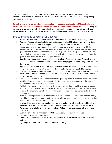Spectrum (Charter Communications) has exclusive rights to televise NYSPHSAA Regional and Championship events. No other televised broadcast of a NYSPHSAA Regional and/or Championship event will be permitted.

**Schools who wish to have a school photographer or videographer attend a NYSPHSAA Regional or Championships, must contact Chris Watson, NYSPHSAA Director of Communications.** Videotaping, for instructional purposes only, by the two schools playing in each contest will be permitted with approval by the NYSPHSAA office. Such permission must be obtained at least three days prior to the contest.

#### <span id="page-10-0"></span>Pre-tournament Concerns for Coaches

- 1. Rosters: make sure the numbers in the scorebook match the numbers on the players' shirts.
- 2. Rosters: At table 15 minutes before game time and finalized 10 minutes before game time.
- 3. Boundaries: Coaches and all team personnel are to stay 4M from the visual boundary.
- 4. Stick check: sticks will be measured for length before teams enter the tournament field.
- 5. A coach must give the number of a player for a stick check to the umpires. In the event that a goal was scored with a crosse that does not meet specifications, the goal will not count. The crosse shall be removed, play will be resumed with a free position at the center line. Once the game is restarted with the draw, the goal shall stand.
- 6. Substitutions: report to the scorer's table and stay in the Team Substitution Area only when their substitution is imminent. Players should have their goggles on before they enter the game. Delay of game!
- 7. Injuries: A player will be asked if she needs to leave the field or needs medical attention. Once the player gives an answer a trainer or coach may be beckoned onto the field if needed.
- 8. Goalkeepers: Game officials will be noting how many dressed keepers each team has. If a team warms up two or more keepers then it will be noted that the team has two or more dressed keepers for carding purposes.
- 9. Goalkeeper's uniform must be of the same corresponding colors as her teammates. Her jersey must be of the same color as her team; the bottom must be in agreement with the team's predominant color or black, grey or white.
- 10. Field players must wear jerseys that are the same single solid color and kilts/shorts of the same dominant color. Kilts/shorts do not have to be solid. The jerseys do not need to be the same color as the kilt/shorts worn by the team (light colored jerseys may be worn with light or dark kilts/shorts).
- 11. All visible undergarments worn under the kilts must be of one solid color, and must be white, gray, black or one of that team's uniform colors. All team members who choose to wear visible undergarments must wear the same color.
- 12. Jewelry: If a player is wearing medical alert jewelry, make sure it is taped and visible. All other jewelry is to be removed. No Band-Aids on the ears unless they are specifically covering a cut. Players can, and will, be asked to remove a Band-Aid on the ear to make sure there is not an ear ring there.
- 13. Overtime procedure in handbook and NFHS Lacrosse rulebook will be followed.
- 14. Halftime: 10 minutes for everyone.
- 15. Time-outs and Halftime: players must be ready to start play at conclusion of time-outs and halftime
- 16. Lightning: See booklet for warm-up after weather delay.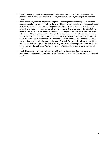- 17. The Alternate official and scorekeepers will take care of the timing for all cards given. The Alternate official will let the coach and /or player know when a player is eligible to enter the game.
- 18. If the carded player or any player replacing her enters the game before the penalty time has elapsed, the player originally receiving the card will serve an additional two-minute penalty, and no substitute may take her place. If the player entering early is the player who received the original card, she will be removed from the field of play for the remainder of the penalty time and then serve the additional two-minute penalty. If the player entering early is not the player who received the original card, the officials will send a player from the offending team who is closest to her team bench area off the field, and the player who received the original card will serve the remainder of the penalty time and then serve the additional two-minute penalty. A change of possession will take place at the spot of the ball if warranted, and any free position will be awarded at the spot of the ball with a player from the offending team placed 4m behind the player with the ball. Note: This is an extension of the penalty time and not an additional card.
- 19. The field supervising umpire, with the help of the Sports Committee Representative, will determine the validity of a protest brought to them by a coach. Then the protest committee will convene.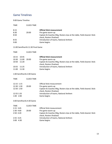# <span id="page-12-0"></span>Game Timelines

9:00 Game Timeline

| <b>TIME</b>                                                       |                                           | <b>CLOCK TIME</b>                  |                                                                                                                                                                                                                      |
|-------------------------------------------------------------------|-------------------------------------------|------------------------------------|----------------------------------------------------------------------------------------------------------------------------------------------------------------------------------------------------------------------|
| 8:15<br>8:30<br>8:50<br>8:55<br>9:00                              |                                           | 20:00                              | <b>Official Stick measurement</b><br>Pre-game warm-up<br>Captain & Coaches Mtg, Rosters due at the table, Field cleared. Stick<br>check, Rosters finalized.<br>Introduction of teams, National Anthem<br>Game begins |
|                                                                   |                                           | 11:00 Semifinal & 11:30 Final Game |                                                                                                                                                                                                                      |
| <b>TIME</b>                                                       |                                           | <b>CLOCK TIME</b>                  |                                                                                                                                                                                                                      |
| 10:15<br>10:30<br>10:50<br>10:55<br>11:00                         | 10:45<br>11:00<br>11:20<br>11:25<br>11:30 | 20:00                              | <b>Official Stick measurement</b><br>Pre-game warm-up<br>Captain & Coaches Mtg, Rosters due at the table, Field cleared. Stick<br>check, Rosters finalized.<br>Introduction of teams, National Anthem<br>Game begins |
|                                                                   |                                           | 1:00 Semifinal & 2:00 Game         |                                                                                                                                                                                                                      |
| <b>TIME</b>                                                       |                                           | <b>CLOCK TIME</b>                  |                                                                                                                                                                                                                      |
| 12:15 1:15<br>12:30 1:30<br>12:50 1:50<br>12:55 1:55<br>1:00 2:00 |                                           | 20:00                              | <b>Official Stick measurement</b><br>Pre-game warm-up<br>Captain & Coaches Mtg, Rosters due at the table, Field cleared. Stick<br>check, Rosters finalized.<br>Introduction of teams, National Anthem<br>Game begins |
|                                                                   |                                           | 3:00 Semifinal & 4:30 Game         |                                                                                                                                                                                                                      |
| TIME<br>2:15 3:45<br>2:30 4:00<br>2:50 4:20<br>2:55 4:25          |                                           | <b>CLOCK TIME</b><br>20:00         | <b>Official Stick measurement</b><br>Pre-game warm-up<br>Captain & Coaches Mtg, Rosters due at the table, Field cleared. Stick<br>check, Rosters finalized.<br>Introduction of teams, National Anthem                |
| 3:00 4:30                                                         |                                           |                                    | Game begins                                                                                                                                                                                                          |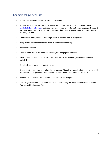# <span id="page-13-0"></span>Championship Check List

- Fill out Tournament Registration Form immediately.
- Book hotel rooms via the Tournament Registration Form and email it to Machell Phelps at [machellphelps@yahoo.com](mailto:machellphelps@yahoo.com) by 2:00pm on Monday, June 3. **Information on lodging will be sent back that same day... Do not contact the hotels directly to reserve rooms.** Numerous hotels are being utilized.
- Submit team photo/roster to MaxPreps (instructions included in this packet)
- Bring "where are they now forms" filled out to coaches meeting
- Book transportation
- Contact Jamie Brown, Tournament Director, to arrange practice times
- Email Kristen Jadin your School Gate List 2 days before tournament (instructions and form included)
- Bring both home/away jerseys to tournament
- Remember that the state only allows 30 players and 7 bench personnel; all others must be paid for. Medals will be given for this number only; extras need to be ordered afterwards.
- A vendor will be selling tournament merchandise at the banquet
- Don't forget to include the number of individuals attending the Banquet of Champions on your Tournament Registration Form.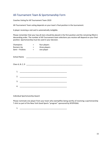# <span id="page-14-0"></span>All-Tournament Team & Sportsmanship Form

Coaches Voting for All Tournament Team 2019

All-Tournament Team voting depends on your team's final position in the tournament.

A player receiving a red card is automatically ineligible.

Please remember that your top all-stars should be placed in the first position and the remaining filled in descending order. The number of All-Tournament team selections you receive will depend on your final position. Sportsmanship must be used in your decision.

| Champions<br><b>Runners Up</b><br>Semi - Finalists | $=$<br>$\equiv$ 100 $\pm$<br>$\equiv 1.0000$ | four players<br>three players<br>one player                                                                          |  |  |
|----------------------------------------------------|----------------------------------------------|----------------------------------------------------------------------------------------------------------------------|--|--|
| <b>School Name</b>                                 |                                              |                                                                                                                      |  |  |
|                                                    |                                              |                                                                                                                      |  |  |
|                                                    |                                              |                                                                                                                      |  |  |
|                                                    |                                              |                                                                                                                      |  |  |
| 1.                                                 |                                              |                                                                                                                      |  |  |
| 2.                                                 |                                              | <u> 2000 - Jan James James Jan James James James James James James James James James James James James James Jam</u> |  |  |
| 3.                                                 |                                              | <u> 1980 - John Stein, Amerikaansk politiker (* 1908)</u>                                                            |  |  |
| 4.                                                 |                                              |                                                                                                                      |  |  |

Individual Sportsmanship Award

Please nominate one player from your team who exemplifies being worthy of receiving a sportsmanship T-shirt as part of the New York Good Sports "program" sponsored by NYSPHSAA.

1. \_\_\_\_\_\_\_\_\_\_\_\_\_\_\_\_\_\_\_\_\_\_\_\_\_\_\_\_\_\_\_\_\_\_\_\_\_\_\_\_\_\_\_\_\_\_\_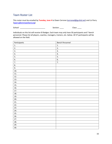# <span id="page-15-0"></span>Team Roster List

This roster must be emailed by **Tuesday, June 4** to Dawn Cerrone [\(cerroned@gcufsd.net\)](mailto:cerroned@gcufsd.net) and Liz Parry [\(eparry@emmawillard.org\)](mailto:eparry@emmawillard.org).

School: \_\_\_\_\_\_\_\_\_\_\_\_\_\_\_\_\_\_\_\_\_\_\_\_\_ Section: \_\_\_\_ Class: \_\_\_\_

Individuals on this list will receive ID Badges. Each team may only have 30 participants and 7 bench personnel. Please list all players, coaches, managers, trainers, etc. below. All 37 participants will be allowed on the field.

| Participants | <b>Bench Personnel</b> |
|--------------|------------------------|
| 1.           | 1.                     |
| 2.           | 2.                     |
| 3.           | 3.                     |
| 4.           | 4.                     |
| 5.           | 5.                     |
| 6.           | 6.                     |
| 7.           | 7.                     |
| 8.           |                        |
| 9.           |                        |
| 10.          |                        |
| 11.          |                        |
| 12.          |                        |
| 13.          |                        |
| 14.          |                        |
| 15.          |                        |
| 16.          |                        |
| 17.          |                        |
| 18.          |                        |
| 19.          |                        |
| 20.          |                        |
| 21.          |                        |
| 22.          |                        |
| 23.          |                        |
| 24.          |                        |
| 25.          |                        |
| 26.          |                        |
| 27.          |                        |
| 28.          |                        |
| 29.          |                        |
| 30.          |                        |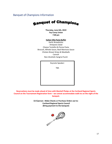<span id="page-16-0"></span>Banquet of Champions Information

# **Banquet of Champions**

**Thursday, June 6th, 2019 Fay Corey Union 7:00 pm**

#### **Italian Villa Pasta Buffet**

Garlic Breadsticks Antipasto Salad Cheese Tortellini & Penne Pasta Broccoli, Alfredo Sauce, Basil Marinara Sauce Chicken Breast Strips & Meatballs Cannoli Non-Alcoholic Sangria Punch

Keynote Speaker:

TBA

**Reservations must be made ahead of time with Machell Phelps at the Cortland Regional Sports Council on the Tournament Registration form – we cannot accommodate walk-ins on the night of the banquet.**

> **\$17/person : Make Checks or Purchase Orders out to: Cortland Regional Sports Council (Bring payment to the banquet)**

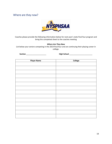# <span id="page-17-0"></span>Where are they now?



Coaches please provide the following information below for next year's state final four program and bring this completed sheet to the coaches meeting

#### *Where Are They Now*

List below your seniors competing in the 2019 final four and are continuing their playing career in college.

**Section** \_\_\_\_\_\_\_\_\_\_\_\_\_\_\_\_\_\_\_\_ **High School** \_\_\_\_\_\_\_\_\_\_\_\_\_\_\_\_\_\_\_\_\_\_\_

| <b>Player Name</b> | College |
|--------------------|---------|
|                    |         |
|                    |         |
|                    |         |
|                    |         |
|                    |         |
|                    |         |
|                    |         |
|                    |         |
|                    |         |
|                    |         |
|                    |         |
|                    |         |
|                    |         |
|                    |         |
|                    |         |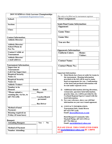<span id="page-18-0"></span>

|                 | <b>2019 NYSPHSAA Girls Lacrosse Championships</b> |
|-----------------|---------------------------------------------------|
|                 | <b>Tournament Registration Form</b>               |
| School:         |                                                   |
| <b>Section:</b> |                                                   |
| Class:          |                                                   |
|                 |                                                   |

#### **Contact Information: Athletic Director:**

| Athletic Director:                                     |  |
|--------------------------------------------------------|--|
| <b>Athletic Director/</b><br>School Phone &<br>Fax No. |  |
| Contact # while at<br><b>Tournament</b>                |  |
| <b>Athletic Director/</b><br>e-mail address:           |  |

#### **Tournament Information:**

| <b>Supervisor at</b>          |                      |
|-------------------------------|----------------------|
| Tournament:                   |                      |
| Cell # for Supervisor:        |                      |
| <b>Required Security</b>      |                      |
| Name $(1)$                    |                      |
| <b>Required Security</b>      |                      |
| Name $(2)$                    |                      |
| <b>Athletic Trainer:</b>      |                      |
| Number to be                  |                      |
| Housed:                       | female<br>male       |
| *Please submit a              | <b>Players</b>       |
| rooming list, via fax, to     |                      |
| 607-753-1296                  | <b>Coaches/Bench</b> |
|                               | personnel            |
|                               | <b>Bus Driver</b>    |
| Method of hotel               |                      |
|                               |                      |
| <b>Payment:</b>               |                      |
| <b>Housing required on</b>    |                      |
| <b>Friday (if team loses)</b> |                      |
|                               |                      |

#### **Banquet:**

| <b>Attending Banquet:</b> | Yes / | - No |
|---------------------------|-------|------|
|                           |       |      |
| <b>Method of Payment</b>  |       |      |
| <b>Number Attending:</b>  |       |      |
|                           |       |      |

*This side to be filled out by tournament registrar*

**Hotel Assignment:** 

#### **Semi-Final Game Information:**

| <b>Opponent:</b>  |  |
|-------------------|--|
| <b>Game Time:</b> |  |
| <b>Game Site:</b> |  |
| You are the:      |  |

#### **Opponents Information:**

| <b>Uniform Colors:</b>    | Home:<br><b>Visitor:</b> |
|---------------------------|--------------------------|
| <b>Contact Name:</b>      |                          |
| <b>Contact Phone No.:</b> |                          |

**Important Information:**

- **1) Hotel blocks have been set aside for teams in the tournament. Housing information provided at the left will be used to make hotel arrangements for you. Confirmation of the hotel and pertinent information will be sent under separate cover.**
- **2) Additional information (driving directions, restaurants, spectator hotel information, practice time, etc.) will be provided by the Cortland Regional Sports Council with the hotel information.**
- **3) For your reference, above you will find information on your next round opponent.**
- **4) CONTACT INFORMATION: Tournament Info: Jamie Brown 607-423-5707 (cell) Email: [jbrown48@twcny.rr.com](mailto:jbrown@cortlandschools.org)**

 **Hotel/Banquet/Community Info: Machell Phelps, 607-423-1394 (c) 607-756-1864 (o) Email: [machellphelps@yahoo.com](mailto:machellphelps@yahoo.com)**

**PLEASE EMAIL THIS COMPLETED FORM TO [machellphelps@yahoo.com](mailto:machellphelps@yahoo.com) BY 1:00PM 6/4/19**